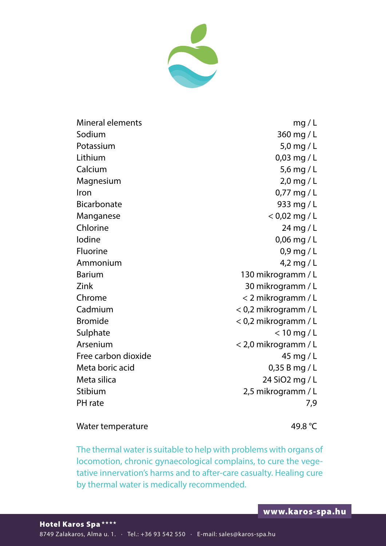

Mineral elements mg / L Sodium 360 mg / L Potassium 5,0 mg / L Lithium 0,03 mg / L Calcium 5,6 mg / L Magnesium 2,0 mg / L Iron 0,77 mg / L Bicarbonate 933 mg / L Manganese  $< 0.02$  mg / L Chlorine 24 mg / L Iodine 0,06 mg / L Fluorine 0,9 mg / L Ammonium 4,2 mg / L Barium 130 mikrogramm / L Zink 30 mikrogramm / L Chrome < 2 mikrogramm / L Cadmium < 0,2 mikrogramm / L Bromide < 0,2 mikrogramm / L Sulphate  $\leq 10$  mg / L Arsenium < 2,0 mikrogramm / L Free carbon dioxide 45 mg / L Meta boric acid 0,35 B mg / L Meta silica 24 SiO2 mg / L Stibium 2,5 mikrogramm / L PH rate 7,9

## Water temperature 49.8 °C

The thermal water is suitable to help with problems with organs of locomotion, chronic gynaecological complains, to cure the vegetative innervation's harms and to after-care casualty. Healing cure by thermal water is medically recommended.

Hotel Karos Spa \*\*\*\* 8749 Zalakaros, Alma u. 1. · Tel.: +36 93 542 550 · E-mail: sales@karos-spa.hu